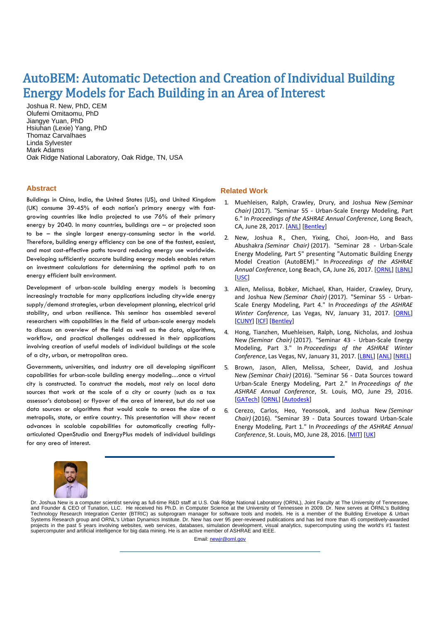## AutoBEM: Automatic Detection and Creation of Individual Building Energy Models for Each Building in an Area of Interest

Joshua R. New, PhD, CEM Olufemi Omitaomu, PhD Jiangye Yuan, PhD Hsiuhan (Lexie) Yang, PhD Thomaz Carvalhaes Linda Sylvester Mark Adams Oak Ridge National Laboratory, Oak Ridge, TN, USA

## **Abstract**

Buildings in China, India, the United States (US), and United Kingdom (UK) consume 39-45% of each nation's primary energy with fastgrowing countries like India projected to use 76% of their primary energy by 2040. In many countries, buildings are – or projected soon to be – the single largest energy-consuming sector in the world. Therefore, building energy efficiency can be one of the fastest, easiest, and most cost-effective paths toward reducing energy use worldwide. Developing sufficiently accurate building energy models enables return on investment calculations for determining the optimal path to an energy efficient built environment.

Development of urban-scale building energy models is becoming increasingly tractable for many applications including citywide energy supply/demand strategies, urban development planning, electrical grid stability, and urban resilience. This seminar has assembled several researchers with capabilities in the field of urban-scale energy models to discuss an overview of the field as well as the data, algorithms, workflow, and practical challenges addressed in their applications involving creation of useful models of individual buildings at the scale of a city, urban, or metropolitan area.

Governments, universities, and industry are all developing significant capabilities for urban-scale building energy modeling…once a virtual city is constructed. To construct the models, most rely on local data sources that work at the scale of a city or county (such as a tax assessor's database) or flyover of the area of interest, but do not use data sources or algorithms that would scale to areas the size of a metropolis, state, or entire country. This presentation will show recent advances in scalable capabilities for automatically creating fullyarticulated OpenStudio and EnergyPlus models of individual buildings for any area of interest.

## **Related Work**

- 1. Muehleisen, Ralph, Crawley, Drury, and Joshua New *(Seminar Chair)* (2017). "Seminar 55 - Urban-Scale Energy Modeling, Part 6." In *Proceedings of the ASHRAE Annual Conference*, Long Beach, CA, June 28, 2017. [\[ANL\]](http://web.eecs.utk.edu/~new/presentations/2017_ASHRAE_UBEM6_ANL.pdf) [\[Bentley\]](http://web.eecs.utk.edu/~new/presentations/2017_ASHRAE_UBEM6_Bentley.pdf)
- 2. New, Joshua R., Chen, Yixing, Choi, Joon-Ho, and Bass Abushakra *(Seminar Chair)* (2017). "Seminar 28 - Urban-Scale Energy Modeling, Part 5" presenting "Automatic Building Energy Model Creation (AutoBEM)." In *Proceedings of the ASHRAE Annual Conference*, Long Beach, CA, June 26, 2017. [\[ORNL\]](http://web.eecs.utk.edu/~new/presentations/2017_ASHRAE_UBEM5_ORNL.pdf) [\[LBNL\]](http://web.eecs.utk.edu/~new/presentations/2017_ASHRAE_UBEM5_LBNL.pdf) [\[USC\]](http://web.eecs.utk.edu/~new/presentations/2017_ASHRAE_UBEM5_USC.pdf)
- 3. Allen, Melissa, Bobker, Michael, Khan, Haider, Crawley, Drury, and Joshua New *(Seminar Chair)* (2017). "Seminar 55 - Urban-Scale Energy Modeling, Part 4." In *Proceedings of the ASHRAE Winter Conference*, Las Vegas, NV, January 31, 2017. [\[ORNL\]](http://web.eecs.utk.edu/~new/presentations/2017_ASHRAE_Winter_UBEM4_ORNL) [\[CUNY\]](http://web.eecs.utk.edu/~new/presentations/2017_ASHRAE_Winter_UBEM4_CUNY.pdf) [\[ICF\]](http://web.eecs.utk.edu/~new/presentations/2017_ASHRAE_Winter_UBEM4_ICF.pdf) [\[Bentley\]](http://web.eecs.utk.edu/~new/presentations/2017_ASHRAE_Winter_UBEM4_Bentley.pdf)
- 4. Hong, Tianzhen, Muehleisen, Ralph, Long, Nicholas, and Joshua New *(Seminar Chair)* (2017). "Seminar 43 - Urban-Scale Energy Modeling, Part 3." In *Proceedings of the ASHRAE Winter*  Conference, Las Vegas, NV, January 31, 2017. [\[LBNL\]](http://web.eecs.utk.edu/~new/presentations/2017_ASHRAE_Winter_UBEM3_LBNL.pdf) [\[ANL\]](http://web.eecs.utk.edu/~new/presentations/2017_ASHRAE_Winter_UBEM3_ANL.pdf) [\[NREL\]](http://web.eecs.utk.edu/~new/presentations/2017_ASHRAE_Winter_UBEM3_NREL.pdf)
- 5. Brown, Jason, Allen, Melissa, Scheer, David, and Joshua New *(Seminar Chair)* (2016). "Seminar 56 - Data Sources toward Urban-Scale Energy Modeling, Part 2." In *Proceedings of the ASHRAE Annual Conference*, St. Louis, MO, June 29, 2016. [\[GATech\]](http://web.eecs.utk.edu/~new/presentations/2016_ASHRAE_Seminar56_GATech.pdf) [\[ORNL\]](http://web.eecs.utk.edu/~new/presentations/2016_ASHRAE_Seminar56_ORNL.pdf) [\[Autodesk\]](http://web.eecs.utk.edu/~new/presentations/2016_ASHRAE_Seminar56_Autodesk.pdf)
- 6. Cerezo, Carlos, Heo, Yeonsook, and Joshua New *(Seminar Chair)* (2016). "Seminar 39 - Data Sources toward Urban-Scale Energy Modeling, Part 1." In *Proceedings of the ASHRAE Annual Conference*, St. Louis, MO, June 28, 2016. [\[MIT\]](http://web.eecs.utk.edu/~new/presentations/2016_ASHRAE_Seminar39_MIT.pdf) [\[UK\]](http://web.eecs.utk.edu/~new/presentations/2016_ASHRAE_Seminar39_UnivCambridge.pdf)



Dr. Joshua New is a computer scientist serving as full-time R&D staff at U.S. Oak Ridge National Laboratory (ORNL), Joint Faculty at The University of Tennessee, and Founder & CEO of Tunation, LLC. He received his Ph.D. in Computer Science at the University of Tennessee in 2009. Dr. New serves at ORNL's Building Technology Research Integration Center (BTRIC) as subprogram manager for software tools and models. He is a member of the Building Envelope & Urban Systems Research group and ORNL's Urban Dynamics Institute. Dr. New has over 95 peer-reviewed publications and has led more than 45 competitively-awarded projects in the past 5 years involving websites, web services, databases, simulation development, visual analytics, supercomputing using the world's #1 fastest supercomputer and artificial intelligence for big data mining. He is an active member of ASHRAE and IEEE.